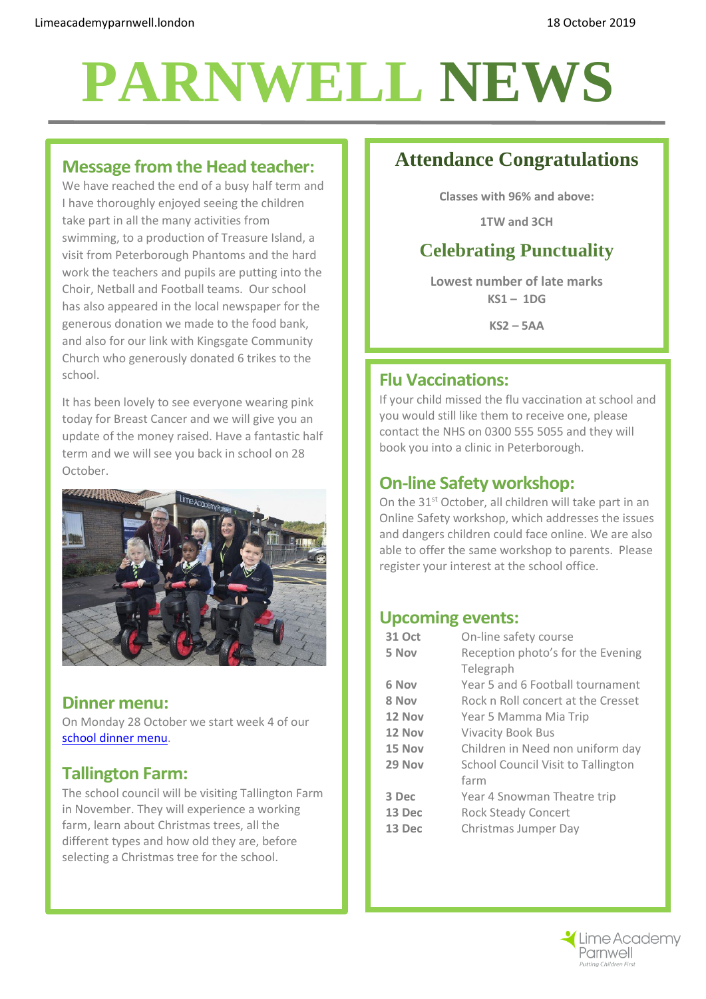# **PARNWELL NEWS**

#### **Message from the Head teacher:**

We have reached the end of a busy half term and I have thoroughly enjoyed seeing the children take part in all the many activities from swimming, to a production of Treasure Island, a visit from Peterborough Phantoms and the hard work the teachers and pupils are putting into the Choir, Netball and Football teams. Our school has also appeared in the local newspaper for the generous donation we made to the food bank, and also for our link with Kingsgate Community Church who generously donated 6 trikes to the school.

It has been lovely to see everyone wearing pink today for Breast Cancer and we will give you an update of the money raised. Have a fantastic half term and we will see you back in school on 28 October.



#### **Dinner menu:**

On Monday 28 October we start week 4 of our [school dinner menu.](http://limeacademyparnwell.london/media/2196/dinner-menu-2019-09-05.pdf)

#### **Tallington Farm:**

The school council will be visiting Tallington Farm in November. They will experience a working farm, learn about Christmas trees, all the different types and how old they are, before selecting a Christmas tree for the school.

## **Attendance Congratulations**

**Classes with 96% and above:**

**1TW and 3CH**

## **Celebrating Punctuality**

**Lowest number of late marks KS1 – 1DG**

**KS2 – 5AA**

### **Flu Vaccinations:**

If your child missed the flu vaccination at school and you would still like them to receive one, please contact the NHS on 0300 555 5055 and they will book you into a clinic in Peterborough.

### **On-line Safety workshop:**

On the 31st October, all children will take part in an Online Safety workshop, which addresses the issues and dangers children could face online. We are also able to offer the same workshop to parents. Please register your interest at the school office.

### **Upcoming events:**

| <b>31 Oct</b> | On-line safety course              |
|---------------|------------------------------------|
| 5 Nov         | Reception photo's for the Evening  |
|               | Telegraph                          |
| 6 Nov         | Year 5 and 6 Football tournament   |
| 8 Nov         | Rock n Roll concert at the Cresset |
| 12 Nov        | Year 5 Mamma Mia Trip              |
| 12 Nov        | <b>Vivacity Book Bus</b>           |
| 15 Nov        | Children in Need non uniform day   |
| 29 Nov        | School Council Visit to Tallington |
|               | farm                               |
| 3 Dec         | Year 4 Snowman Theatre trip        |
| 13 Dec        | <b>Rock Steady Concert</b>         |
| 13 Dec        | Christmas Jumper Day               |
|               |                                    |